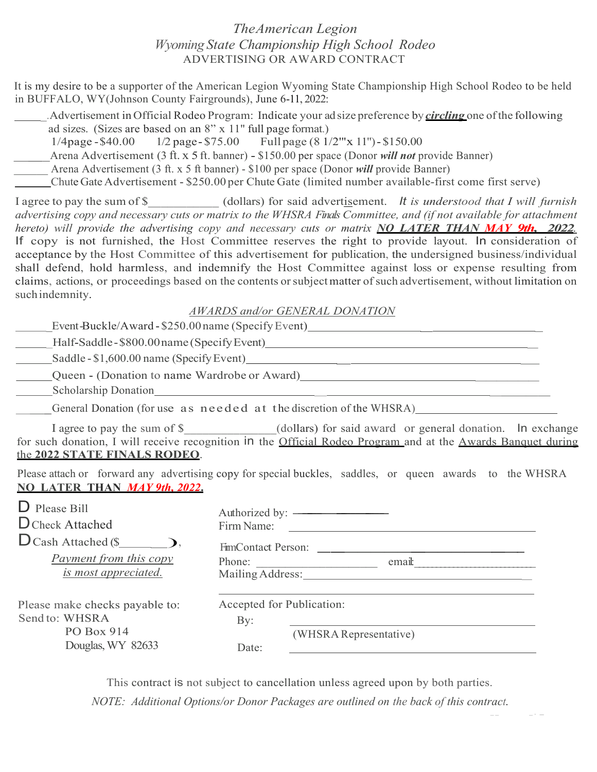# The American Legion Wyoming State Championship High School Rodeo ADVERTISING OR AWARD CONTRACT

It is my desire to be a supporter of the American Legion Wyoming State Championship High School Rodeo to be held in BUFFALO, WY(Johnson County Fairgrounds), June 6-11, 2022:

. Advertisement in Official Rodeo Program: Indicate your ad size preference by *circling* one of the following ad sizes. (Sizes are based on an 8" x 11" full page format.) 1/4page - \$40.00 1/2 page - \$75.00 Full page (8 1/2"'x 11") - \$150.00<br>Arena Advertisement (3 ft. x 5 ft. banner) - \$150.00 per space (Donor *will not* provide Banner) Arena Advertisement (3 ft. x 5 ft banner) - \$100 per space (Donor *will* provide Banner) Chute Gate Advertisement - \$250.00 per Chute Gate (limited number available-first come first serve)

I agree to pay the sum of \$ (dollars) for said advertisement. It is understood that I will furnish advertising copy and necessary cuts or matrix to the WHSRA Finals Committee, and (if not available for attachment hereto) will provide the advertising copy and necessary cuts or matrix **NO LATER THAN MAY 9th. 2022.** If copy is not furnished, the Host Committee reserves the right to provide layout. In consideration of acceptance by the Host Committee of this advertisement for publication, the undersigned business/individual shall defend, hold harmless, and indemnify the Host Committee against loss or expense resulting from claims, actions, or proceedings based on the contents or subject matter of such advertisement, without limitation on such indemnity.

|  | AWARDS and/or GENERAL DONATION |
|--|--------------------------------|
|--|--------------------------------|

| AWARDS ana/or GEINERAL DOINATION                 |  |
|--------------------------------------------------|--|
| Event-Buckle/Award-\$250.00 name (Specify Event) |  |
| Half-Saddle-\$800.00 name (Specify Event)        |  |
| Saddle - \$1,600.00 name (Specify Event)         |  |
| Queen - (Donation to name Wardrobe or Award)     |  |

Scholarship Donation \_ \_\_\_\_\_ \_\_\_General Donation (for use as needed at the discretion of the WHSRA)

I agree to pay the sum of \$ (dollars) for said award or general donation. In exchange for such donation, I will receive recognition in the Official Rodeo Program and at the Awards Banquet during the 2022 STATE FINALS RODEO.<br>Please attach or forward any advertising copy for special buckles, saddles, or queen awards to the WHSRA

NO LATER THAN MAY 9th, 2022.

| Authorized by: ————————<br>Firm Name:<br><u> 1980 - Jan Stein Stein Stein Stein Stein Stein Stein Stein Stein Stein Stein Stein Stein Stein Stein Stein S</u><br>FilmContact Person:<br>Payment from this copy<br>Phone:<br>email:<br>is most appreciated.<br>Mailing Address:<br>Accepted for Publication:<br>Send to: WHSRA<br>By:<br>PO Box 914<br>(WHSRA Representative)<br>Douglas, WY 82633<br>Date: |                                                                                                              | Please attach or florward any advertising copy for special buckles, saddles, or queen awards to the wHSRA |
|------------------------------------------------------------------------------------------------------------------------------------------------------------------------------------------------------------------------------------------------------------------------------------------------------------------------------------------------------------------------------------------------------------|--------------------------------------------------------------------------------------------------------------|-----------------------------------------------------------------------------------------------------------|
|                                                                                                                                                                                                                                                                                                                                                                                                            | <b>NO LATER THAN MAY 9th, 2022.</b><br>$\mathbf{D}$ Please Bill<br>D Check Attached<br>$D$ Cash Attached (\$ |                                                                                                           |
|                                                                                                                                                                                                                                                                                                                                                                                                            |                                                                                                              |                                                                                                           |
|                                                                                                                                                                                                                                                                                                                                                                                                            | Please make checks payable to:                                                                               |                                                                                                           |
|                                                                                                                                                                                                                                                                                                                                                                                                            |                                                                                                              |                                                                                                           |
|                                                                                                                                                                                                                                                                                                                                                                                                            |                                                                                                              |                                                                                                           |

This contract is not subject to cancellation unless agreed upon by both parties.

NOTE: Additional Options/or Donor Packages are outlined on the back of this contract.